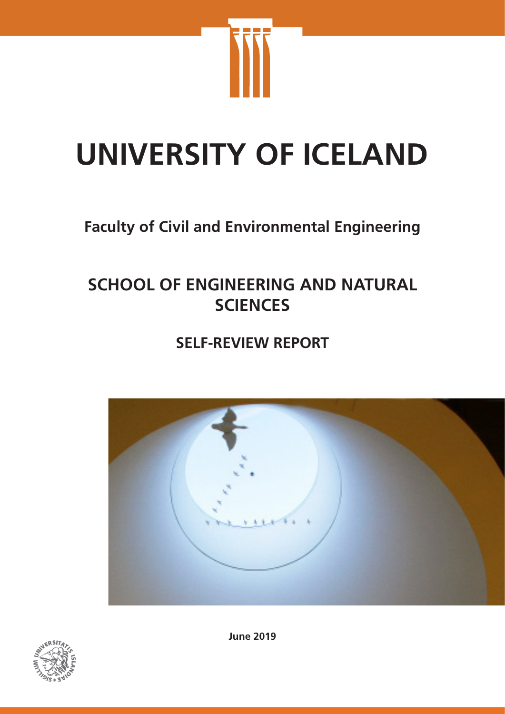

# **UNIVERSITY OF ICELAND**

# **Faculty of Civil and Environmental Engineering**

# **SCHOOL OF ENGINEERING AND NATURAL SCIENCES**

# **SELF-REVIEW REPORT**





**June 2019**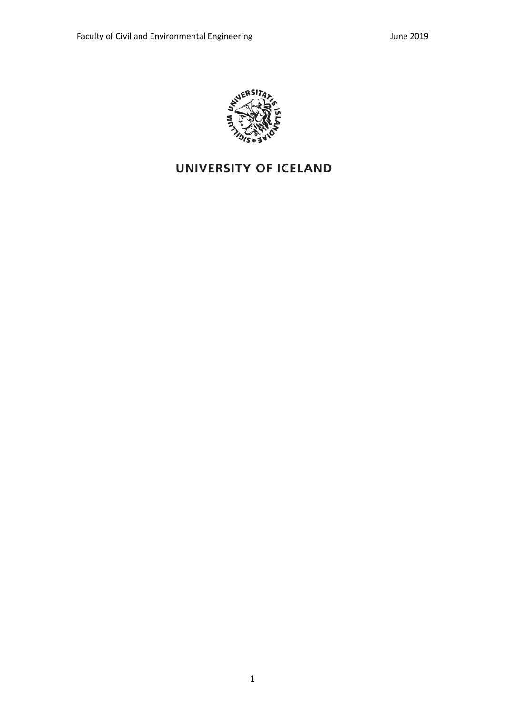

# UNIVERSITY OF ICELAND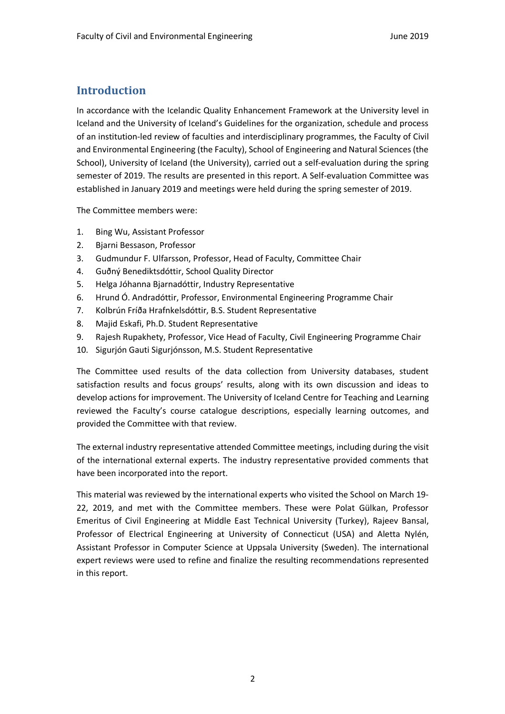## **Introduction**

In accordance with the Icelandic Quality Enhancement Framework at the University level in Iceland and the University of Iceland's Guidelines for the organization, schedule and process of an institution-led review of faculties and interdisciplinary programmes, the Faculty of Civil and Environmental Engineering (the Faculty), School of Engineering and Natural Sciences (the School), University of Iceland (the University), carried out a self-evaluation during the spring semester of 2019. The results are presented in this report. A Self-evaluation Committee was established in January 2019 and meetings were held during the spring semester of 2019.

The Committee members were:

- 1. Bing Wu, Assistant Professor
- 2. Bjarni Bessason, Professor
- 3. Gudmundur F. Ulfarsson, Professor, Head of Faculty, Committee Chair
- 4. Guðný Benediktsdóttir, School Quality Director
- 5. Helga Jóhanna Bjarnadóttir, Industry Representative
- 6. Hrund Ó. Andradóttir, Professor, Environmental Engineering Programme Chair
- 7. Kolbrún Fríða Hrafnkelsdóttir, B.S. Student Representative
- 8. Majid Eskafi, Ph.D. Student Representative
- 9. Rajesh Rupakhety, Professor, Vice Head of Faculty, Civil Engineering Programme Chair
- 10. Sigurjón Gauti Sigurjónsson, M.S. Student Representative

The Committee used results of the data collection from University databases, student satisfaction results and focus groups' results, along with its own discussion and ideas to develop actions for improvement. The University of Iceland Centre for Teaching and Learning reviewed the Faculty's course catalogue descriptions, especially learning outcomes, and provided the Committee with that review.

The external industry representative attended Committee meetings, including during the visit of the international external experts. The industry representative provided comments that have been incorporated into the report.

This material was reviewed by the international experts who visited the School on March 19- 22, 2019, and met with the Committee members. These were Polat Gülkan, Professor Emeritus of Civil Engineering at Middle East Technical University (Turkey), Rajeev Bansal, Professor of Electrical Engineering at University of Connecticut (USA) and Aletta Nylén, Assistant Professor in Computer Science at Uppsala University (Sweden). The international expert reviews were used to refine and finalize the resulting recommendations represented in this report.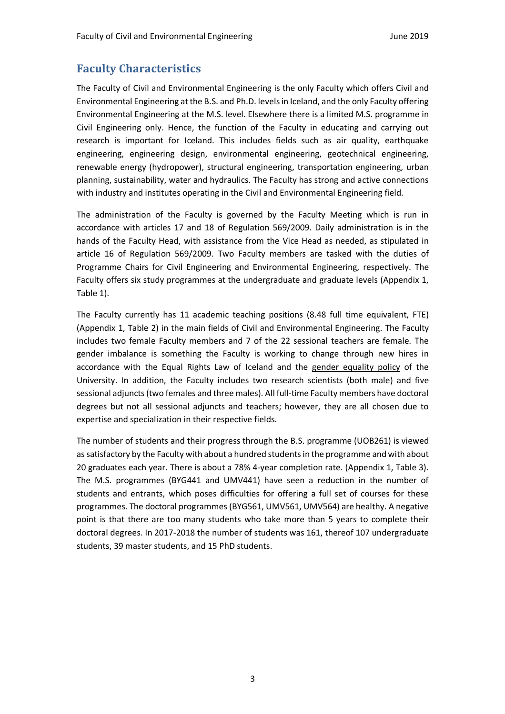## **Faculty Characteristics**

The Faculty of Civil and Environmental Engineering is the only Faculty which offers Civil and Environmental Engineering at the B.S. and Ph.D. levels in Iceland, and the only Faculty offering Environmental Engineering at the M.S. level. Elsewhere there is a limited M.S. programme in Civil Engineering only. Hence, the function of the Faculty in educating and carrying out research is important for Iceland. This includes fields such as air quality, earthquake engineering, engineering design, environmental engineering, geotechnical engineering, renewable energy (hydropower), structural engineering, transportation engineering, urban planning, sustainability, water and hydraulics. The Faculty has strong and active connections with industry and institutes operating in the Civil and Environmental Engineering field.

The administration of the Faculty is governed by the Faculty Meeting which is run in accordance with articles 17 and 18 of Regulation 569/2009. Daily administration is in the hands of the Faculty Head, with assistance from the Vice Head as needed, as stipulated in article 16 of Regulation 569/2009. Two Faculty members are tasked with the duties of Programme Chairs for Civil Engineering and Environmental Engineering, respectively. The Faculty offers six study programmes at the undergraduate and graduate levels (Appendix 1, Table 1).

The Faculty currently has 11 academic teaching positions (8.48 full time equivalent, FTE) (Appendix 1, Table 2) in the main fields of Civil and Environmental Engineering. The Faculty includes two female Faculty members and 7 of the 22 sessional teachers are female. The gender imbalance is something the Faculty is working to change through new hires in accordance with the Equal Rights Law of Iceland and the gender equality policy of the University. In addition, the Faculty includes two research scientists (both male) and five sessional adjuncts (two females and three males). All full-time Faculty members have doctoral degrees but not all sessional adjuncts and teachers; however, they are all chosen due to expertise and specialization in their respective fields.

The number of students and their progress through the B.S. programme (UOB261) is viewed as satisfactory by the Faculty with about a hundred students in the programme and with about 20 graduates each year. There is about a 78% 4-year completion rate. (Appendix 1, Table 3). The M.S. programmes (BYG441 and UMV441) have seen a reduction in the number of students and entrants, which poses difficulties for offering a full set of courses for these programmes. The doctoral programmes (BYG561, UMV561, UMV564) are healthy. A negative point is that there are too many students who take more than 5 years to complete their doctoral degrees. In 2017-2018 the number of students was 161, thereof 107 undergraduate students, 39 master students, and 15 PhD students.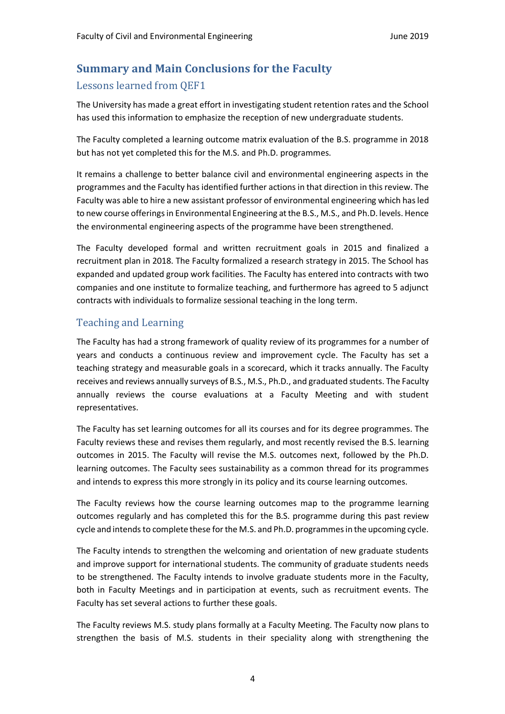## **Summary and Main Conclusions for the Faculty**

#### Lessons learned from QEF1

The University has made a great effort in investigating student retention rates and the School has used this information to emphasize the reception of new undergraduate students.

The Faculty completed a learning outcome matrix evaluation of the B.S. programme in 2018 but has not yet completed this for the M.S. and Ph.D. programmes.

It remains a challenge to better balance civil and environmental engineering aspects in the programmes and the Faculty has identified further actions in that direction in this review. The Faculty was able to hire a new assistant professor of environmental engineering which has led to new course offerings in Environmental Engineering at the B.S., M.S., and Ph.D. levels. Hence the environmental engineering aspects of the programme have been strengthened.

The Faculty developed formal and written recruitment goals in 2015 and finalized a recruitment plan in 2018. The Faculty formalized a research strategy in 2015. The School has expanded and updated group work facilities. The Faculty has entered into contracts with two companies and one institute to formalize teaching, and furthermore has agreed to 5 adjunct contracts with individuals to formalize sessional teaching in the long term.

## Teaching and Learning

The Faculty has had a strong framework of quality review of its programmes for a number of years and conducts a continuous review and improvement cycle. The Faculty has set a teaching strategy and measurable goals in a scorecard, which it tracks annually. The Faculty receives and reviews annually surveys of B.S., M.S., Ph.D., and graduated students. The Faculty annually reviews the course evaluations at a Faculty Meeting and with student representatives.

The Faculty has set learning outcomes for all its courses and for its degree programmes. The Faculty reviews these and revises them regularly, and most recently revised the B.S. learning outcomes in 2015. The Faculty will revise the M.S. outcomes next, followed by the Ph.D. learning outcomes. The Faculty sees sustainability as a common thread for its programmes and intends to express this more strongly in its policy and its course learning outcomes.

The Faculty reviews how the course learning outcomes map to the programme learning outcomes regularly and has completed this for the B.S. programme during this past review cycle and intends to complete these for the M.S. and Ph.D. programmes in the upcoming cycle.

The Faculty intends to strengthen the welcoming and orientation of new graduate students and improve support for international students. The community of graduate students needs to be strengthened. The Faculty intends to involve graduate students more in the Faculty, both in Faculty Meetings and in participation at events, such as recruitment events. The Faculty has set several actions to further these goals.

The Faculty reviews M.S. study plans formally at a Faculty Meeting. The Faculty now plans to strengthen the basis of M.S. students in their speciality along with strengthening the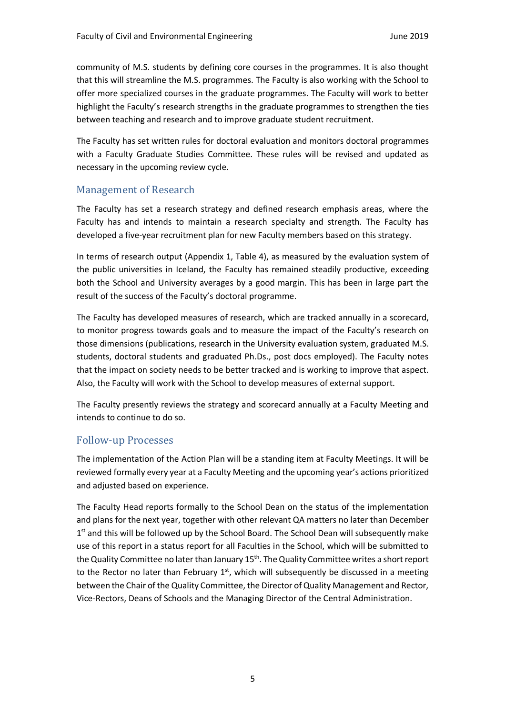community of M.S. students by defining core courses in the programmes. It is also thought that this will streamline the M.S. programmes. The Faculty is also working with the School to offer more specialized courses in the graduate programmes. The Faculty will work to better highlight the Faculty's research strengths in the graduate programmes to strengthen the ties between teaching and research and to improve graduate student recruitment.

The Faculty has set written rules for doctoral evaluation and monitors doctoral programmes with a Faculty Graduate Studies Committee. These rules will be revised and updated as necessary in the upcoming review cycle.

#### Management of Research

The Faculty has set a research strategy and defined research emphasis areas, where the Faculty has and intends to maintain a research specialty and strength. The Faculty has developed a five-year recruitment plan for new Faculty members based on this strategy.

In terms of research output (Appendix 1, Table 4), as measured by the evaluation system of the public universities in Iceland, the Faculty has remained steadily productive, exceeding both the School and University averages by a good margin. This has been in large part the result of the success of the Faculty's doctoral programme.

The Faculty has developed measures of research, which are tracked annually in a scorecard, to monitor progress towards goals and to measure the impact of the Faculty's research on those dimensions (publications, research in the University evaluation system, graduated M.S. students, doctoral students and graduated Ph.Ds., post docs employed). The Faculty notes that the impact on society needs to be better tracked and is working to improve that aspect. Also, the Faculty will work with the School to develop measures of external support.

The Faculty presently reviews the strategy and scorecard annually at a Faculty Meeting and intends to continue to do so.

### Follow-up Processes

The implementation of the Action Plan will be a standing item at Faculty Meetings. It will be reviewed formally every year at a Faculty Meeting and the upcoming year's actions prioritized and adjusted based on experience.

The Faculty Head reports formally to the School Dean on the status of the implementation and plans for the next year, together with other relevant QA matters no later than December  $1<sup>st</sup>$  and this will be followed up by the School Board. The School Dean will subsequently make use of this report in a status report for all Faculties in the School, which will be submitted to the Quality Committee no later than January 15th. The Quality Committee writes a short report to the Rector no later than February  $1<sup>st</sup>$ , which will subsequently be discussed in a meeting between the Chair of the Quality Committee, the Director of Quality Management and Rector, Vice-Rectors, Deans of Schools and the Managing Director of the Central Administration.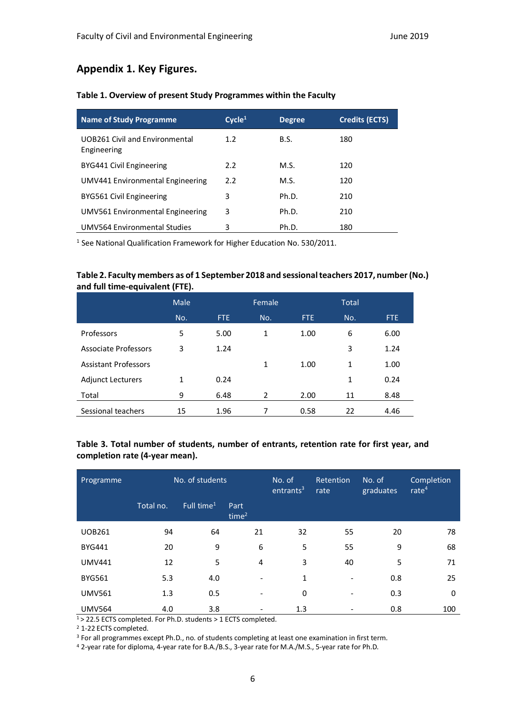## **Appendix 1. Key Figures.**

| <b>Name of Study Programme</b>                | Cycle <sup>1</sup> | <b>Degree</b> | <b>Credits (ECTS)</b> |
|-----------------------------------------------|--------------------|---------------|-----------------------|
| UOB261 Civil and Environmental<br>Engineering | 1.2 <sub>2</sub>   | B.S.          | 180                   |
| BYG441 Civil Engineering                      | 2.2                | M.S.          | 120                   |
| UMV441 Environmental Engineering              | 2.2                | M.S.          | 120                   |
| BYG561 Civil Engineering                      | 3                  | Ph.D.         | 210                   |
| UMV561 Environmental Engineering              | 3                  | Ph.D.         | 210                   |
| <b>UMV564 Environmental Studies</b>           | 3                  | Ph.D.         | 180                   |

#### **Table 1. Overview of present Study Programmes within the Faculty**

<sup>1</sup> See National Qualification Framework for Higher Education No. 530/2011.

#### **Table 2. Faculty members as of 1 September 2018 and sessional teachers 2017, number (No.) and full time-equivalent (FTE).**

|                             | <b>Male</b> |            | Female |      | <b>Total</b> |      |
|-----------------------------|-------------|------------|--------|------|--------------|------|
|                             | No.         | <b>FTE</b> | No.    | FTE. | No.          | FTE. |
| Professors                  | 5           | 5.00       | 1      | 1.00 | 6            | 6.00 |
| <b>Associate Professors</b> | 3           | 1.24       |        |      | 3            | 1.24 |
| <b>Assistant Professors</b> |             |            | 1      | 1.00 | 1            | 1.00 |
| <b>Adjunct Lecturers</b>    | 1           | 0.24       |        |      | 1            | 0.24 |
| Total                       | 9           | 6.48       | 2      | 2.00 | 11           | 8.48 |
| Sessional teachers          | 15          | 1.96       | 7      | 0.58 | 22           | 4.46 |

#### **Table 3. Total number of students, number of entrants, retention rate for first year, and completion rate (4-year mean).**

| Programme     | No. of students |                        | No. of<br>entrants <sup>3</sup> | Retention<br>rate | No. of<br>graduates      | Completion<br>rate $4$ |     |
|---------------|-----------------|------------------------|---------------------------------|-------------------|--------------------------|------------------------|-----|
|               | Total no.       | Full time <sup>1</sup> | Part<br>time <sup>2</sup>       |                   |                          |                        |     |
| <b>UOB261</b> | 94              | 64                     | 21                              | 32                | 55                       | 20                     | 78  |
| <b>BYG441</b> | 20              | 9                      | 6                               | 5                 | 55                       | 9                      | 68  |
| <b>UMV441</b> | 12              | 5                      | $\overline{4}$                  | 3                 | 40                       | 5                      | 71  |
| <b>BYG561</b> | 5.3             | 4.0                    |                                 | 1                 | $\overline{\phantom{a}}$ | 0.8                    | 25  |
| <b>UMV561</b> | 1.3             | 0.5                    |                                 | 0                 | ۰                        | 0.3                    | 0   |
| <b>UMV564</b> | 4.0             | 3.8                    |                                 | 1.3               |                          | 0.8                    | 100 |

1 > 22.5 ECTS completed. For Ph.D. students > 1 ECTS completed.

<sup>2</sup> 1-22 ECTS completed.

<sup>3</sup> For all programmes except Ph.D., no. of students completing at least one examination in first term.

<sup>4</sup> 2-year rate for diploma, 4-year rate for B.A./B.S., 3-year rate for M.A./M.S., 5-year rate for Ph.D.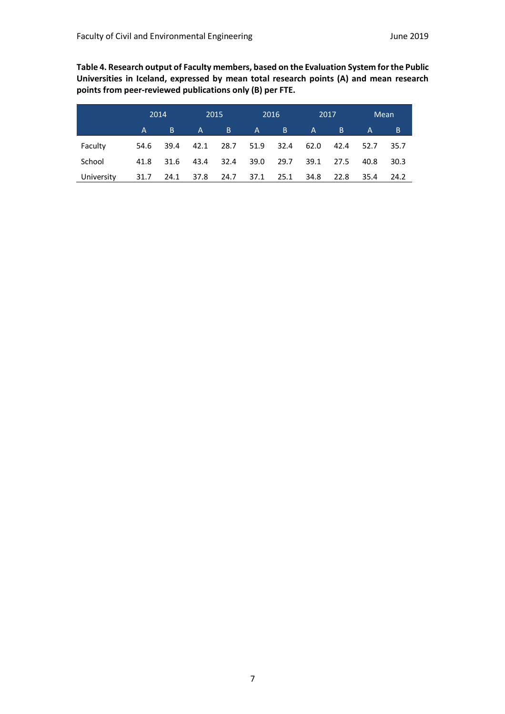**Table 4. Research output of Faculty members, based on the Evaluation System for the Public Universities in Iceland, expressed by mean total research points (A) and mean research points from peer-reviewed publications only (B) per FTE.**

|            | 2014 |      | 2015           |           |      | 2016 | 2017         |       |      | Mean |
|------------|------|------|----------------|-----------|------|------|--------------|-------|------|------|
|            | A    | B    | A,             | B.        | A    | B.   | $\mathsf{A}$ | 7 B J | A    | B    |
| Faculty    | 54.6 | 39.4 | 42.1           | 28.7 51.9 |      | 32.4 | 62.0         | 42.4  | 52.7 | 35.7 |
| School     | 41.8 | 31.6 | 43.4           | -32.4     | 39.0 | 29.7 | 39.1         | 27.5  | 40.8 | 30.3 |
| University | 31.7 |      | 24.1 37.8 24.7 |           | 37.1 | 25.1 | 34.8         | 22.8  | 35.4 | 24.2 |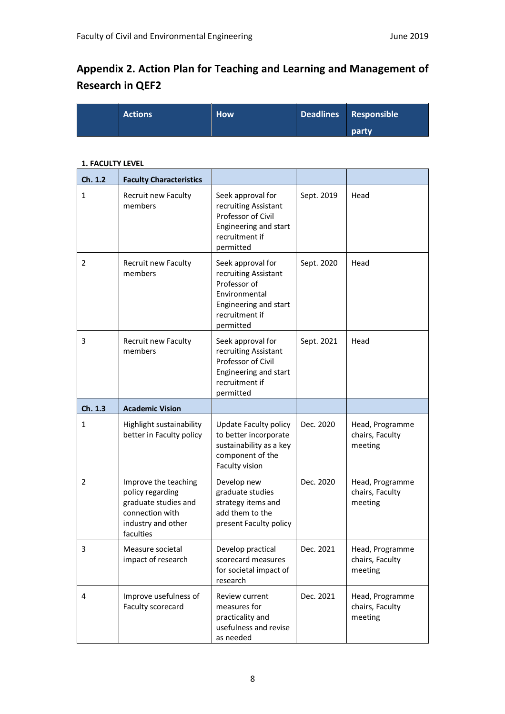# **Appendix 2. Action Plan for Teaching and Learning and Management of Research in QEF2**

| <b>Actions</b> | How <sup>1</sup> | Deadlines Responsible |
|----------------|------------------|-----------------------|
|                |                  | party                 |

#### **1. FACULTY LEVEL**

| Ch. 1.2 | <b>Faculty Characteristics</b>                                                                                         |                                                                                                                                    |            |                                               |
|---------|------------------------------------------------------------------------------------------------------------------------|------------------------------------------------------------------------------------------------------------------------------------|------------|-----------------------------------------------|
| 1       | Recruit new Faculty<br>members                                                                                         | Seek approval for<br>recruiting Assistant<br>Professor of Civil<br>Engineering and start<br>recruitment if<br>permitted            | Sept. 2019 | Head                                          |
| 2       | <b>Recruit new Faculty</b><br>members                                                                                  | Seek approval for<br>recruiting Assistant<br>Professor of<br>Environmental<br>Engineering and start<br>recruitment if<br>permitted | Sept. 2020 | Head                                          |
| 3       | <b>Recruit new Faculty</b><br>members                                                                                  | Seek approval for<br>recruiting Assistant<br>Professor of Civil<br>Engineering and start<br>recruitment if<br>permitted            | Sept. 2021 | Head                                          |
| Ch. 1.3 | <b>Academic Vision</b>                                                                                                 |                                                                                                                                    |            |                                               |
| 1       | Highlight sustainability<br>better in Faculty policy                                                                   | Update Faculty policy<br>to better incorporate<br>sustainability as a key<br>component of the<br>Faculty vision                    | Dec. 2020  | Head, Programme<br>chairs, Faculty<br>meeting |
| 2       | Improve the teaching<br>policy regarding<br>graduate studies and<br>connection with<br>industry and other<br>faculties | Develop new<br>graduate studies<br>strategy items and<br>add them to the<br>present Faculty policy                                 | Dec. 2020  | Head, Programme<br>chairs, Faculty<br>meeting |
| 3.      | Measure societal<br>impact of research                                                                                 | Develop practical<br>scorecard measures<br>for societal impact of<br>research                                                      | Dec. 2021  | Head, Programme<br>chairs, Faculty<br>meeting |
| 4       | Improve usefulness of<br>Faculty scorecard                                                                             | Review current<br>measures for<br>practicality and<br>usefulness and revise<br>as needed                                           | Dec. 2021  | Head, Programme<br>chairs, Faculty<br>meeting |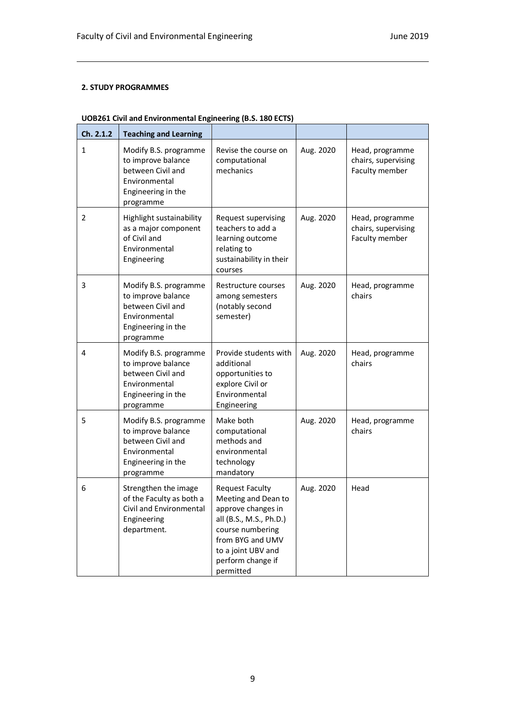#### **2. STUDY PROGRAMMES**

| Ch. 2.1.2 | <b>Teaching and Learning</b>                                                                                         |                                                                                                                                                                                                |           |                                                          |
|-----------|----------------------------------------------------------------------------------------------------------------------|------------------------------------------------------------------------------------------------------------------------------------------------------------------------------------------------|-----------|----------------------------------------------------------|
| 1         | Modify B.S. programme<br>to improve balance<br>between Civil and<br>Environmental<br>Engineering in the<br>programme | Revise the course on<br>computational<br>mechanics                                                                                                                                             | Aug. 2020 | Head, programme<br>chairs, supervising<br>Faculty member |
| 2         | Highlight sustainability<br>as a major component<br>of Civil and<br>Environmental<br>Engineering                     | Request supervising<br>teachers to add a<br>learning outcome<br>relating to<br>sustainability in their<br>courses                                                                              | Aug. 2020 | Head, programme<br>chairs, supervising<br>Faculty member |
| 3         | Modify B.S. programme<br>to improve balance<br>between Civil and<br>Environmental<br>Engineering in the<br>programme | Restructure courses<br>among semesters<br>(notably second<br>semester)                                                                                                                         | Aug. 2020 | Head, programme<br>chairs                                |
| 4         | Modify B.S. programme<br>to improve balance<br>between Civil and<br>Environmental<br>Engineering in the<br>programme | Provide students with<br>additional<br>opportunities to<br>explore Civil or<br>Environmental<br>Engineering                                                                                    | Aug. 2020 | Head, programme<br>chairs                                |
| 5         | Modify B.S. programme<br>to improve balance<br>between Civil and<br>Environmental<br>Engineering in the<br>programme | Make both<br>computational<br>methods and<br>environmental<br>technology<br>mandatory                                                                                                          | Aug. 2020 | Head, programme<br>chairs                                |
| 6         | Strengthen the image<br>of the Faculty as both a<br>Civil and Environmental<br>Engineering<br>department.            | <b>Request Faculty</b><br>Meeting and Dean to<br>approve changes in<br>all (B.S., M.S., Ph.D.)<br>course numbering<br>from BYG and UMV<br>to a joint UBV and<br>perform change if<br>permitted | Aug. 2020 | Head                                                     |

#### **UOB261 Civil and Environmental Engineering (B.S. 180 ECTS)**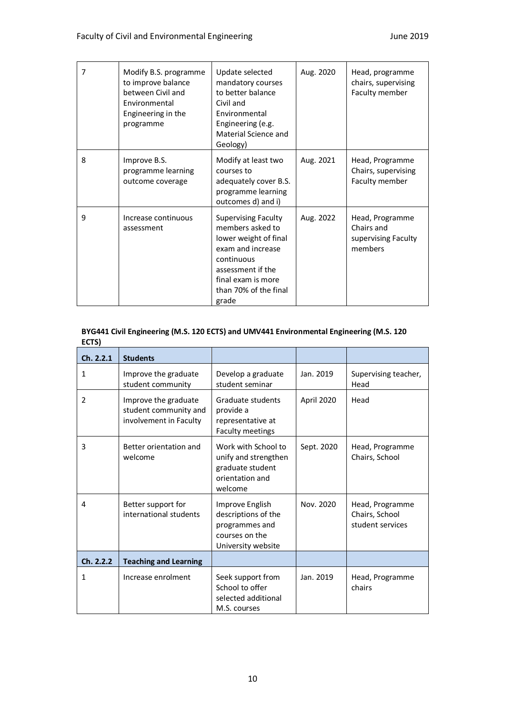| 7 | Modify B.S. programme<br>to improve balance<br>between Civil and<br>Environmental<br>Engineering in the<br>programme | Update selected<br>mandatory courses<br>to better balance<br>Civil and<br>Environmental<br>Engineering (e.g.<br>Material Science and<br>Geology)                                        | Aug. 2020 | Head, programme<br>chairs, supervising<br>Faculty member        |
|---|----------------------------------------------------------------------------------------------------------------------|-----------------------------------------------------------------------------------------------------------------------------------------------------------------------------------------|-----------|-----------------------------------------------------------------|
| 8 | Improve B.S.<br>programme learning<br>outcome coverage                                                               | Modify at least two<br>courses to<br>adequately cover B.S.<br>programme learning<br>outcomes d) and i)                                                                                  | Aug. 2021 | Head, Programme<br>Chairs, supervising<br>Faculty member        |
| 9 | Increase continuous<br>assessment                                                                                    | <b>Supervising Faculty</b><br>members asked to<br>lower weight of final<br>exam and increase<br>continuous<br>assessment if the<br>final exam is more<br>than 70% of the final<br>grade | Aug. 2022 | Head, Programme<br>Chairs and<br>supervising Faculty<br>members |

#### **BYG441 Civil Engineering (M.S. 120 ECTS) and UMV441 Environmental Engineering (M.S. 120 ECTS)**

| Ch. 2.2.1    | <b>Students</b>                                                         |                                                                                                  |            |                                                       |
|--------------|-------------------------------------------------------------------------|--------------------------------------------------------------------------------------------------|------------|-------------------------------------------------------|
| 1            | Improve the graduate<br>student community                               | Develop a graduate<br>student seminar                                                            | Jan. 2019  | Supervising teacher,<br>Head                          |
| 2            | Improve the graduate<br>student community and<br>involvement in Faculty | Graduate students<br>provide a<br>representative at<br>Faculty meetings                          | April 2020 | Head                                                  |
| 3            | Better orientation and<br>welcome                                       | Work with School to<br>unify and strengthen<br>graduate student<br>orientation and<br>welcome    | Sept. 2020 | Head, Programme<br>Chairs, School                     |
| 4            | Better support for<br>international students                            | Improve English<br>descriptions of the<br>programmes and<br>courses on the<br>University website | Nov. 2020  | Head, Programme<br>Chairs, School<br>student services |
| Ch. 2.2.2    | <b>Teaching and Learning</b>                                            |                                                                                                  |            |                                                       |
| $\mathbf{1}$ | Increase enrolment                                                      | Seek support from<br>School to offer<br>selected additional<br>M.S. courses                      | Jan. 2019  | Head, Programme<br>chairs                             |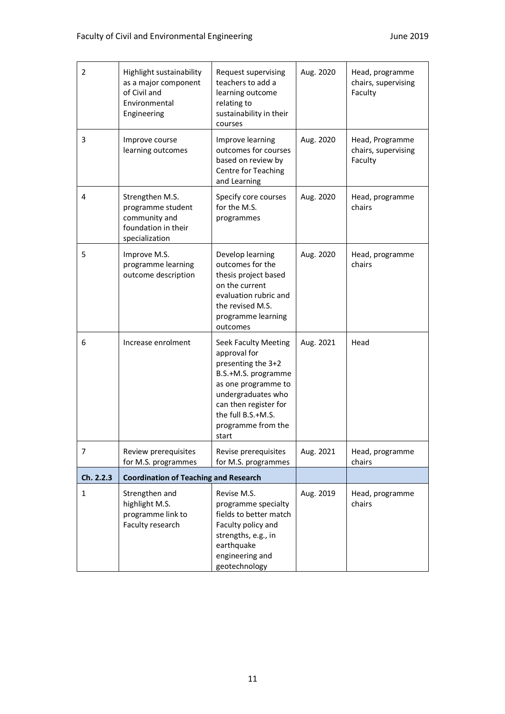| $\overline{2}$ | Highlight sustainability<br>as a major component<br>of Civil and<br>Environmental<br>Engineering | Request supervising<br>teachers to add a<br>learning outcome<br>relating to<br>sustainability in their<br>courses                                                                                            | Aug. 2020 | Head, programme<br>chairs, supervising<br>Faculty |
|----------------|--------------------------------------------------------------------------------------------------|--------------------------------------------------------------------------------------------------------------------------------------------------------------------------------------------------------------|-----------|---------------------------------------------------|
| 3              | Improve course<br>learning outcomes                                                              | Improve learning<br>outcomes for courses<br>based on review by<br>Centre for Teaching<br>and Learning                                                                                                        | Aug. 2020 | Head, Programme<br>chairs, supervising<br>Faculty |
| 4              | Strengthen M.S.<br>programme student<br>community and<br>foundation in their<br>specialization   | Specify core courses<br>for the M.S.<br>programmes                                                                                                                                                           | Aug. 2020 | Head, programme<br>chairs                         |
| 5              | Improve M.S.<br>programme learning<br>outcome description                                        | Develop learning<br>outcomes for the<br>thesis project based<br>on the current<br>evaluation rubric and<br>the revised M.S.<br>programme learning<br>outcomes                                                | Aug. 2020 | Head, programme<br>chairs                         |
| 6              | Increase enrolment                                                                               | Seek Faculty Meeting<br>approval for<br>presenting the 3+2<br>B.S.+M.S. programme<br>as one programme to<br>undergraduates who<br>can then register for<br>the full B.S.+M.S.<br>programme from the<br>start | Aug. 2021 | Head                                              |
| 7              | Review prerequisites<br>for M.S. programmes                                                      | Revise prerequisites<br>for M.S. programmes                                                                                                                                                                  | Aug. 2021 | Head, programme<br>chairs                         |
| Ch. 2.2.3      | <b>Coordination of Teaching and Research</b>                                                     |                                                                                                                                                                                                              |           |                                                   |
| $\mathbf{1}$   | Strengthen and<br>highlight M.S.<br>programme link to<br>Faculty research                        | Revise M.S.<br>programme specialty<br>fields to better match<br>Faculty policy and<br>strengths, e.g., in<br>earthquake<br>engineering and<br>geotechnology                                                  | Aug. 2019 | Head, programme<br>chairs                         |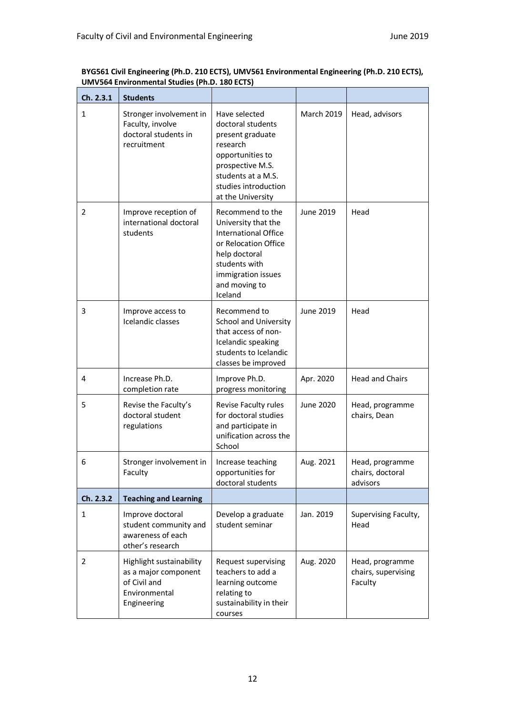| Ch. 2.3.1      | <b>Students</b>                                                                                  |                                                                                                                                                                                    |                   |                                                   |
|----------------|--------------------------------------------------------------------------------------------------|------------------------------------------------------------------------------------------------------------------------------------------------------------------------------------|-------------------|---------------------------------------------------|
| $\mathbf{1}$   | Stronger involvement in<br>Faculty, involve<br>doctoral students in<br>recruitment               | Have selected<br>doctoral students<br>present graduate<br>research<br>opportunities to<br>prospective M.S.<br>students at a M.S.<br>studies introduction<br>at the University      | <b>March 2019</b> | Head, advisors                                    |
| 2              | Improve reception of<br>international doctoral<br>students                                       | Recommend to the<br>University that the<br><b>International Office</b><br>or Relocation Office<br>help doctoral<br>students with<br>immigration issues<br>and moving to<br>Iceland | June 2019         | Head                                              |
| 3              | Improve access to<br>Icelandic classes                                                           | Recommend to<br><b>School and University</b><br>that access of non-<br>Icelandic speaking<br>students to Icelandic<br>classes be improved                                          | June 2019         | Head                                              |
| 4              | Increase Ph.D.<br>completion rate                                                                | Improve Ph.D.<br>progress monitoring                                                                                                                                               | Apr. 2020         | <b>Head and Chairs</b>                            |
| 5              | Revise the Faculty's<br>doctoral student<br>regulations                                          | Revise Faculty rules<br>for doctoral studies<br>and participate in<br>unification across the<br>School                                                                             | June 2020         | Head, programme<br>chairs, Dean                   |
| 6              | Stronger involvement in<br>Faculty                                                               | Increase teaching<br>opportunities for<br>doctoral students                                                                                                                        | Aug. 2021         | Head, programme<br>chairs, doctoral<br>advisors   |
| Ch. 2.3.2      | <b>Teaching and Learning</b>                                                                     |                                                                                                                                                                                    |                   |                                                   |
| $\mathbf{1}$   | Improve doctoral<br>student community and<br>awareness of each<br>other's research               | Develop a graduate<br>student seminar                                                                                                                                              | Jan. 2019         | Supervising Faculty,<br>Head                      |
| $\overline{2}$ | Highlight sustainability<br>as a major component<br>of Civil and<br>Environmental<br>Engineering | Request supervising<br>teachers to add a<br>learning outcome<br>relating to<br>sustainability in their<br>courses                                                                  | Aug. 2020         | Head, programme<br>chairs, supervising<br>Faculty |

**BYG561 Civil Engineering (Ph.D. 210 ECTS), UMV561 Environmental Engineering (Ph.D. 210 ECTS), UMV564 Environmental Studies (Ph.D. 180 ECTS)**